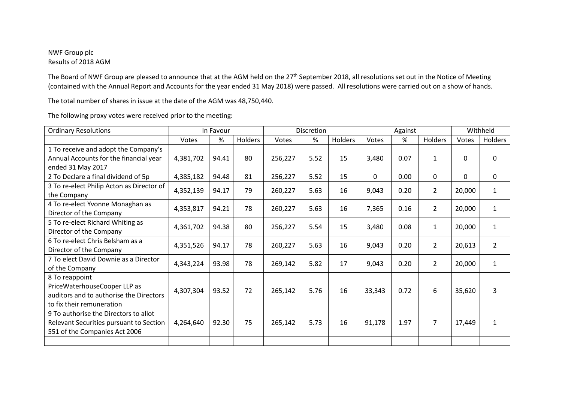## NWF Group plc Results of 2018 AGM

The Board of NWF Group are pleased to announce that at the AGM held on the 27<sup>th</sup> September 2018, all resolutions set out in the Notice of Meeting (contained with the Annual Report and Accounts for the year ended 31 May 2018) were passed. All resolutions were carried out on a show of hands.

The total number of shares in issue at the date of the AGM was 48,750,440.

| <b>Ordinary Resolutions</b>               | In Favour |       |         | <b>Discretion</b> |      |         | Against |      |                | Withheld     |                |
|-------------------------------------------|-----------|-------|---------|-------------------|------|---------|---------|------|----------------|--------------|----------------|
|                                           | Votes     | %     | Holders | Votes             | %    | Holders | Votes   | %    | Holders        | Votes        | Holders        |
| 1 To receive and adopt the Company's      |           |       |         |                   |      |         |         |      |                |              |                |
| Annual Accounts for the financial year    | 4,381,702 | 94.41 | 80      | 256,227           | 5.52 | 15      | 3,480   | 0.07 | $\mathbf{1}$   | 0            | 0              |
| ended 31 May 2017                         |           |       |         |                   |      |         |         |      |                |              |                |
| 2 To Declare a final dividend of 5p       | 4,385,182 | 94.48 | 81      | 256,227           | 5.52 | 15      | 0       | 0.00 | $\mathbf{0}$   | $\mathbf{0}$ | 0              |
| 3 To re-elect Philip Acton as Director of | 4,352,139 | 94.17 | 79      | 260,227           | 5.63 | 16      | 9,043   | 0.20 | $\overline{2}$ | 20,000       | $\mathbf{1}$   |
| the Company                               |           |       |         |                   |      |         |         |      |                |              |                |
| 4 To re-elect Yvonne Monaghan as          | 4,353,817 | 94.21 | 78      | 260,227           | 5.63 | 16      | 7,365   | 0.16 | $\overline{2}$ | 20,000       | 1              |
| Director of the Company                   |           |       |         |                   |      |         |         |      |                |              |                |
| 5 To re-elect Richard Whiting as          | 4,361,702 | 94.38 | 80      | 256,227           | 5.54 | 15      | 3,480   | 0.08 | $\mathbf{1}$   | 20,000       | $\mathbf{1}$   |
| Director of the Company                   |           |       |         |                   |      |         |         |      |                |              |                |
| 6 To re-elect Chris Belsham as a          | 4,351,526 | 94.17 | 78      | 260,227           | 5.63 | 16      | 9,043   | 0.20 | $\overline{2}$ | 20,613       | $\overline{2}$ |
| Director of the Company                   |           |       |         |                   |      |         |         |      |                |              |                |
| 7 To elect David Downie as a Director     | 4,343,224 | 93.98 | 78      | 269,142           | 5.82 | 17      | 9,043   | 0.20 | $\overline{2}$ | 20,000       | $\mathbf{1}$   |
| of the Company                            |           |       |         |                   |      |         |         |      |                |              |                |
| 8 To reappoint                            |           |       |         |                   |      |         |         |      |                |              |                |
| PriceWaterhouseCooper LLP as              | 4,307,304 | 93.52 | 72      | 265,142           | 5.76 | 16      | 33,343  | 0.72 | 6              | 35,620       | 3              |
| auditors and to authorise the Directors   |           |       |         |                   |      |         |         |      |                |              |                |
| to fix their remuneration                 |           |       |         |                   |      |         |         |      |                |              |                |
| 9 To authorise the Directors to allot     |           |       |         |                   |      |         |         |      |                |              |                |
| Relevant Securities pursuant to Section   | 4,264,640 | 92.30 | 75      | 265,142           | 5.73 | 16      | 91,178  | 1.97 | $\overline{7}$ | 17,449       |                |
| 551 of the Companies Act 2006             |           |       |         |                   |      |         |         |      |                |              |                |
|                                           |           |       |         |                   |      |         |         |      |                |              |                |

The following proxy votes were received prior to the meeting: